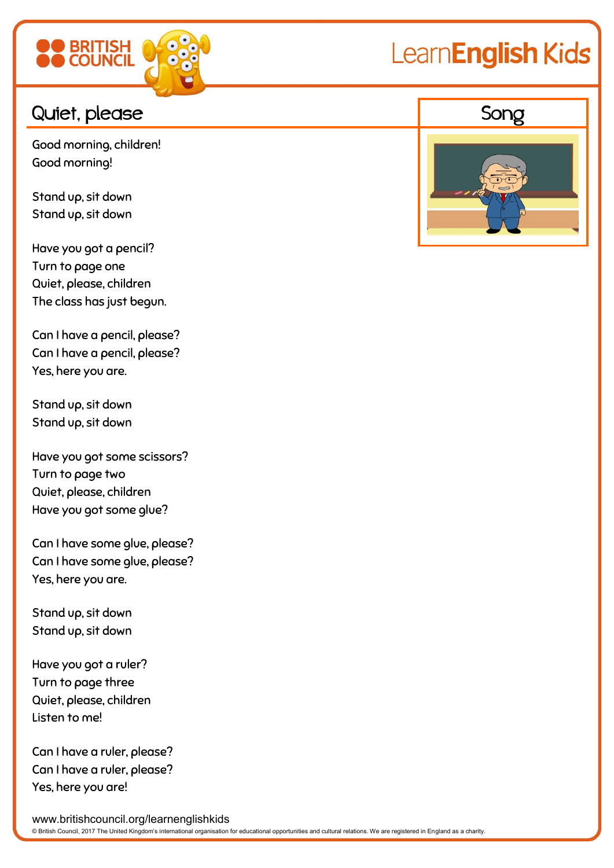

## LearnEnglish Kids

Good morning, children! Good morning!

Stand up, sit down Stand up, sit down

Have you got a pencil? Turn to page one Quiet, please, children The class has just begun.

Can I have a pencil, please? Can I have a pencil, please? Yes, here you are.

Stand up, sit down Stand up, sit down

Have you got some scissors? Turn to page two Quiet, please, children Have you got some glue?

Can I have some glue, please? Can I have some glue, please? Yes, here you are.

Stand up, sit down Stand up, sit down

Have you got a ruler? Turn to page three Quiet, please, children Listen to me!

Can I have a ruler, please? Can I have a ruler, please? Yes, here you are!



www.britishcouncil.org/learnenglishkids © British Council, 2017 The United Kingdom's international organisation for educational opportunities and cultural relations. We are registered in England as a charity.